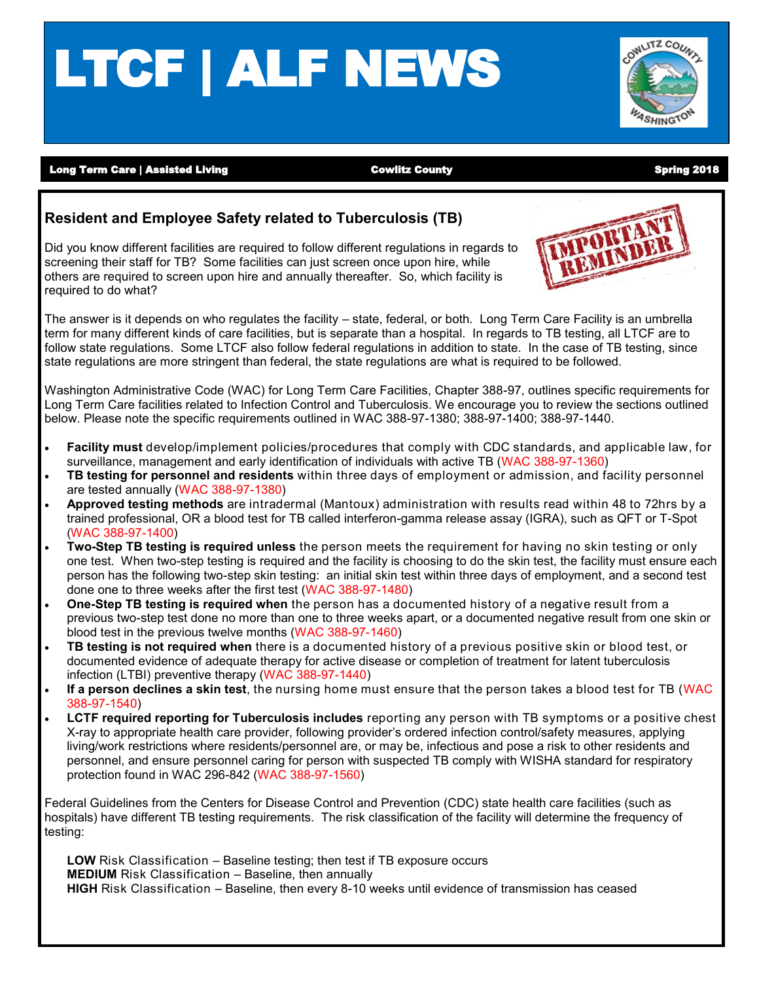# LTCF | ALF NEWS



Long Term Care | Assisted Living North Cowlitz County Cowlitz County North Spring 2018

#### **Resident and Employee Safety related to Tuberculosis (TB)**

Did you know different facilities are required to follow different regulations in regards to screening their staff for TB? Some facilities can just screen once upon hire, while others are required to screen upon hire and annually thereafter. So, which facility is required to do what?



The answer is it depends on who regulates the facility – state, federal, or both. Long Term Care Facility is an umbrella term for many different kinds of care facilities, but is separate than a hospital. In regards to TB testing, all LTCF are to follow state regulations. Some LTCF also follow federal regulations in addition to state. In the case of TB testing, since state regulations are more stringent than federal, the state regulations are what is required to be followed.

Washington Administrative Code (WAC) for Long Term Care Facilities, Chapter 388-97, outlines specific requirements for Long Term Care facilities related to Infection Control and Tuberculosis. We encourage you to review the sections outlined below. Please note the specific requirements outlined in WAC 388-97-1380; 388-97-1400; 388-97-1440.

- **Facility must** develop/implement policies/procedures that comply with CDC standards, and applicable law, for surveillance, management and early identification of individuals with active TB (WAC 388-97-1360)
- **TB testing for personnel and residents** within three days of employment or admission, and facility personnel are tested annually (WAC 388-97-1380)
- **Approved testing methods** are intradermal (Mantoux) administration with results read within 48 to 72hrs by a trained professional, OR a blood test for TB called interferon-gamma release assay (IGRA), such as QFT or T-Spot (WAC 388-97-1400)
- **Two-Step TB testing is required unless** the person meets the requirement for having no skin testing or only one test. When two-step testing is required and the facility is choosing to do the skin test, the facility must ensure each person has the following two-step skin testing: an initial skin test within three days of employment, and a second test done one to three weeks after the first test (WAC 388-97-1480)
- **One-Step TB testing is required when** the person has a documented history of a negative result from a previous two-step test done no more than one to three weeks apart, or a documented negative result from one skin or blood test in the previous twelve months (WAC 388-97-1460)
- **TB testing is not required when** there is a documented history of a previous positive skin or blood test, or documented evidence of adequate therapy for active disease or completion of treatment for latent tuberculosis infection (LTBI) preventive therapy (WAC 388-97-1440)
- **If a person declines a skin test**, the nursing home must ensure that the person takes a blood test for TB (WAC 388-97-1540)
- **LCTF required reporting for Tuberculosis includes** reporting any person with TB symptoms or a positive chest X-ray to appropriate health care provider, following provider's ordered infection control/safety measures, applying living/work restrictions where residents/personnel are, or may be, infectious and pose a risk to other residents and personnel, and ensure personnel caring for person with suspected TB comply with WISHA standard for respiratory protection found in WAC 296-842 (WAC 388-97-1560)

Federal Guidelines from the Centers for Disease Control and Prevention (CDC) state health care facilities (such as hospitals) have different TB testing requirements. The risk classification of the facility will determine the frequency of testing:

**LOW** Risk Classification – Baseline testing; then test if TB exposure occurs **MEDIUM** Risk Classification – Baseline, then annually **HIGH** Risk Classification – Baseline, then every 8-10 weeks until evidence of transmission has ceased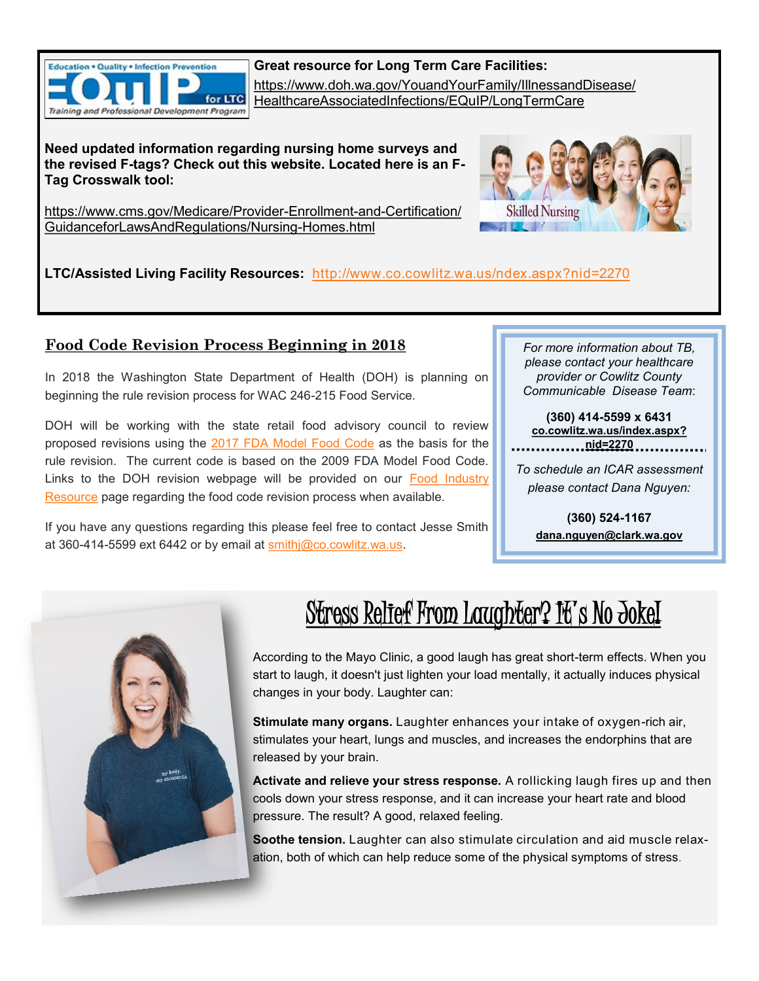

**Great resource for Long Term Care Facilities:** [https://www.doh.wa.gov/YouandYourFamily/IllnessandDisease/](https://www.doh.wa.gov/YouandYourFamily/IllnessandDisease/HealthcareAssociatedInfections/EQuIP/LongTermCare) [HealthcareAssociatedInfections/EQuIP/LongTermCare](https://www.doh.wa.gov/YouandYourFamily/IllnessandDisease/HealthcareAssociatedInfections/EQuIP/LongTermCare)

**Need updated information regarding nursing home surveys and the revised F-tags? Check out this website. Located here is an F-Tag Crosswalk tool:**

[https://www.cms.gov/Medicare/Provider](https://www.cms.gov/Medicare/Provider-Enrollment-and-Certification/GuidanceforLawsAndRegulations/Nursing-Homes.html)-Enrollment-and-Certification/ [GuidanceforLawsAndRegulations/Nursing](https://www.cms.gov/Medicare/Provider-Enrollment-and-Certification/GuidanceforLawsAndRegulations/Nursing-Homes.html)-Homes.html



**LTC/Assisted Living Facility Resources:** [http://www.co.cowlitz.wa.us/ndex.aspx?nid=2270](http://www.co.cowlitz.wa.us/index.aspx?nid=2270)

### **Food Code Revision Process Beginning in 2018**

In 2018 the Washington State Department of Health (DOH) is planning on beginning the rule revision process for WAC 246-215 Food Service.

DOH will be working with the state retail food advisory council to review proposed revisions using the [2017 FDA Model Food Code](https://www.fda.gov/Food/GuidanceRegulation/RetailFoodProtection/FoodCode/ucm595139.htm) as the basis for the rule revision. The current code is based on the 2009 FDA Model Food Code. Links to the DOH revision webpage will be provided on our [Food Industry](http://www.co.cowlitz.wa.us/index.aspx?nid=1201)  [Resource](http://www.co.cowlitz.wa.us/index.aspx?nid=1201) page regarding the food code revision process when available.

If you have any questions regarding this please feel free to contact Jesse Smith at 360-414-5599 ext 6442 or by email at smithj@co.cowlitz.wa.us.

*For more information about TB, please contact your healthcare provider or Cowlitz County Communicable Disease Team*:

**(360) 414-5599 x 6431 [co.cowlitz.wa.us/index.aspx?](http://www.co.cowlitz.wa.us/index.aspx?nid=2270) [nid=2270](http://www.co.cowlitz.wa.us/index.aspx?nid=2270)**

*To schedule an ICAR assessment please contact Dana Nguyen:*

**(360) 524-1167 [dana.nguyen@clark.wa.gov](mailto:dana.nguyen@clark.wa.gov)**



# Stress Relief From Laughter? It's No Jokel

According to the Mayo Clinic, a good laugh has great short-term effects. When you start to laugh, it doesn't just lighten your load mentally, it actually induces physical changes in your body. Laughter can:

**Stimulate many organs.** Laughter enhances your intake of oxygen-rich air, stimulates your heart, lungs and muscles, and increases the endorphins that are released by your brain.

**Activate and relieve your stress response.** A rollicking laugh fires up and then cools down your stress response, and it can increase your heart rate and blood pressure. The result? A good, relaxed feeling.

**Soothe tension.** Laughter can also stimulate circulation and aid muscle relaxation, both of which can help reduce some of the physical symptoms of stress.